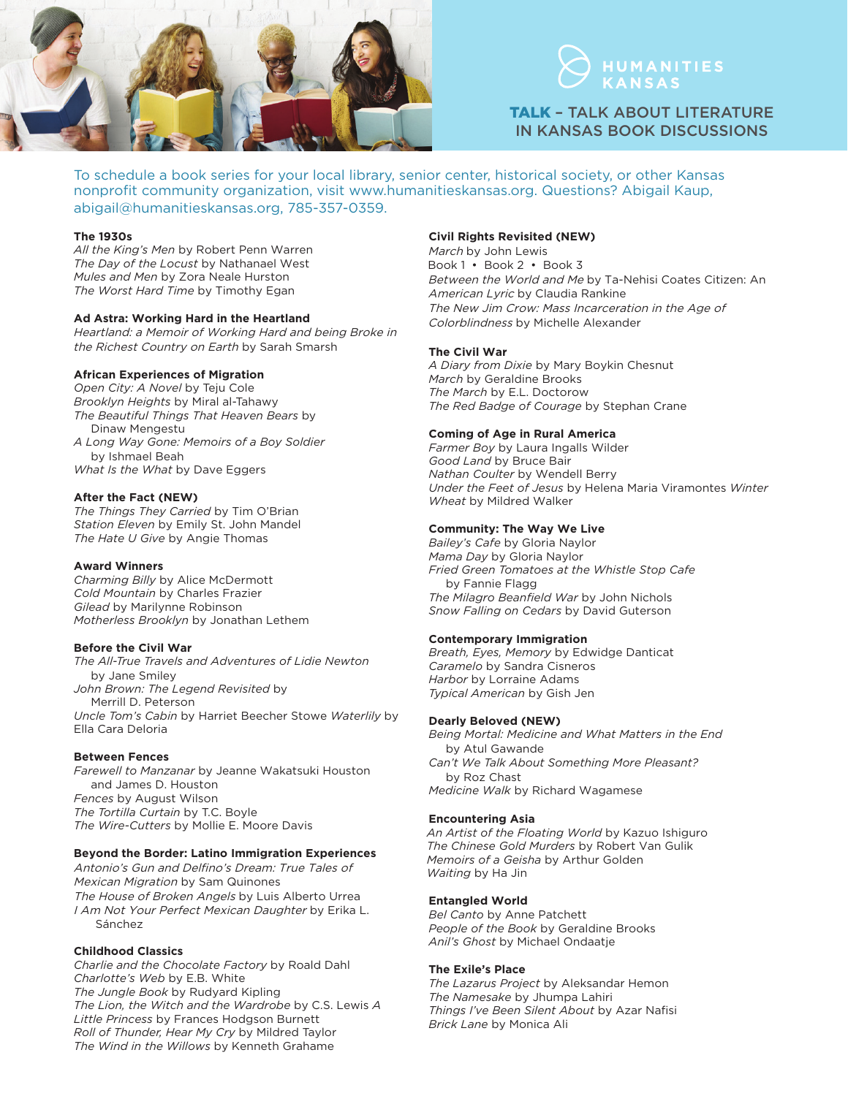



TALK – TALK ABOUT LITERATURE IN KANSAS BOOK DISCUSSIONS

To schedule a book series for your local library, senior center, historical society, or other Kansas nonprofit community organization, visit www.humanitieskansas.org. Questions? Abigail Kaup, abigail@humanitieskansas.org, 785-357-0359.

## **The 1930s**

*All the King's Men* by Robert Penn Warren *The Day of the Locust* by Nathanael West *Mules and Men* by Zora Neale Hurston *The Worst Hard Time* by Timothy Egan

## **Ad Astra: Working Hard in the Heartland**

Heartland: a Memoir of Working Hard and being Broke in the Richest Country on Earth by Sarah Smarsh

## **African Experiences of Migration**

*Open City: A Novel* by Teju Cole *Brooklyn Heights* by Miral al-Tahawy *The Beautiful Things That Heaven Bears* by Dinaw Mengestu *A Long Way Gone: Memoirs of a Boy Soldier*  by Ishmael Beah *What Is the What* by Dave Eggers

## **After the Fact (NEW)**

*The Things They Carried* by Tim O'Brian *Station Eleven* by Emily St. John Mandel *The Hate U Give* by Angie Thomas

#### **Award Winners**

*Charming Billy* by Alice McDermott *Cold Mountain* by Charles Frazier *Gilead* by Marilynne Robinson *Motherless Brooklyn* by Jonathan Lethem

# **Before the Civil War**

*The All-True Travels and Adventures of Lidie Newton*  by Jane Smiley *John Brown: The Legend Revisited* by Merrill D. Peterson *Uncle Tom's Cabin* by Harriet Beecher Stowe *Waterlily* by Ella Cara Deloria

# **Between Fences**

*Farewell to Manzanar* by Jeanne Wakatsuki Houston and James D. Houston *Fences* by August Wilson *The Tortilla Curtain* by T.C. Boyle *The Wire-Cutters* by Mollie E. Moore Davis

# **Beyond the Border: Latino Immigration Experiences**

Antonio's Gun and Delfino's Dream: True Tales of Mexican Migration by Sam Quinones The House of Broken Angels by Luis Alberto Urrea I Am Not Your Perfect Mexican Daughter by Erika L. Sánchez

# **Childhood Classics**

*Charlie and the Chocolate Factory* by Roald Dahl *Charlotte's Web* by E.B. White *The Jungle Book* by Rudyard Kipling *The Lion, the Witch and the Wardrobe* by C.S. Lewis *A Little Princess* by Frances Hodgson Burnett *Roll of Thunder, Hear My Cry* by Mildred Taylor *The Wind in the Willows* by Kenneth Grahame

# **Civil Rights Revisited (NEW)**

March by John Lewis Book 1 • Book 2 • Book 3 Between the World and Me by Ta-Nehisi Coates Citizen: An American Lyric by Claudia Rankine The New Jim Crow: Mass Incarceration in the Age of Colorblindness by Michelle Alexander

## **The Civil War**

*A Diary from Dixie* by Mary Boykin Chesnut *March* by Geraldine Brooks *The March* by E.L. Doctorow *The Red Badge of Courage* by Stephan Crane

# **Coming of Age in Rural America**

*Farmer Boy* by Laura Ingalls Wilder *Good Land* by Bruce Bair *Nathan Coulter* by Wendell Berry *Under the Feet of Jesus* by Helena Maria Viramontes *Winter Wheat* by Mildred Walker

# **Community: The Way We Live**

*Bailey's Cafe* by Gloria Naylor *Mama Day* by Gloria Naylor *Fried Green Tomatoes at the Whistle Stop Cafe* by Fannie Flagg *The Milagro Beanfield War* by John Nichols *Snow Falling on Cedars* by David Guterson

# **Contemporary Immigration**

*Breath, Eyes, Memory* by Edwidge Danticat *Caramelo* by Sandra Cisneros *Harbor* by Lorraine Adams *Typical American* by Gish Jen

### **Dearly Beloved (NEW)**

*Being Mortal: Medicine and What Matters in the End* by Atul Gawande *Can't We Talk About Something More Pleasant?* by Roz Chast *Medicine Walk* by Richard Wagamese

#### **Encountering Asia**

*An Artist of the Floating World* by Kazuo Ishiguro *The Chinese Gold Murders* by Robert Van Gulik *Memoirs of a Geisha* by Arthur Golden *Waiting* by Ha Jin

#### **Entangled World**

*Bel Canto* by Anne Patchett *People of the Book* by Geraldine Brooks *Anil's Ghost* by Michael Ondaatje

# **The Exile's Place**

*The Lazarus Project* by Aleksandar Hemon *The Namesake* by Jhumpa Lahiri *Things I've Been Silent About* by Azar Nafisi *Brick Lane* by Monica Ali